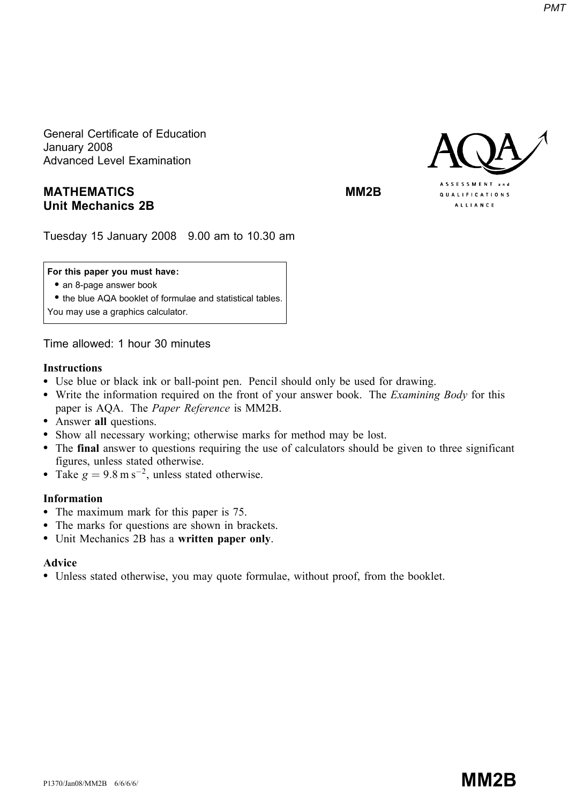General Certificate of Education January 2008 Advanced Level Examination

# MATHEMATICS MATHEMATICS Unit Mechanics 2B



Tuesday 15 January 2008 9.00 am to 10.30 am

## For this paper you must have:

• an 8-page answer book

\* the blue AQA booklet of formulae and statistical tables.

You may use a graphics calculator.

Time allowed: 1 hour 30 minutes

## Instructions

- Use blue or black ink or ball-point pen. Pencil should only be used for drawing.
- Write the information required on the front of your answer book. The *Examining Body* for this paper is AQA. The Paper Reference is MM2B.
- Answer all questions.
- \* Show all necessary working; otherwise marks for method may be lost.
- \* The final answer to questions requiring the use of calculators should be given to three significant figures, unless stated otherwise.
- Take  $g = 9.8 \text{ m s}^{-2}$ , unless stated otherwise.

## Information

- The maximum mark for this paper is 75.
- The marks for questions are shown in brackets.
- Unit Mechanics 2B has a written paper only.

## Advice

\* Unless stated otherwise, you may quote formulae, without proof, from the booklet.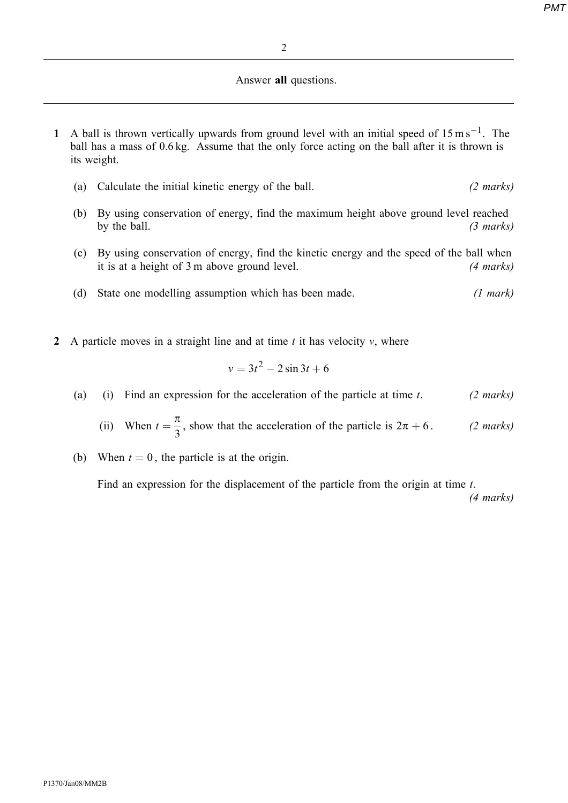## Answer all questions.

- 1 A ball is thrown vertically upwards from ground level with an initial speed of  $15 \text{ m s}^{-1}$ . The ball has a mass of 0.6 kg. Assume that the only force acting on the ball after it is thrown is its weight.
	- (a) Calculate the initial kinetic energy of the ball. (2 marks)
	- (b) By using conservation of energy, find the maximum height above ground level reached by the ball.  $(3 \text{ marks})$
	- (c) By using conservation of energy, find the kinetic energy and the speed of the ball when it is at a height of 3 m above ground level. (4 marks)
	- (d) State one modelling assumption which has been made. (1 mark)
- 2 A particle moves in a straight line and at time  $t$  it has velocity  $v$ , where

$$
v=3t^2-2\sin 3t+6
$$

- (a) (i) Find an expression for the acceleration of the particle at time t. (2 marks)
	- (ii) When  $t = \frac{\pi}{3}$ , show that the acceleration of the particle is  $2\pi + 6$ . (2 marks)
- (b) When  $t = 0$ , the particle is at the origin.

Find an expression for the displacement of the particle from the origin at time t.

(4 marks)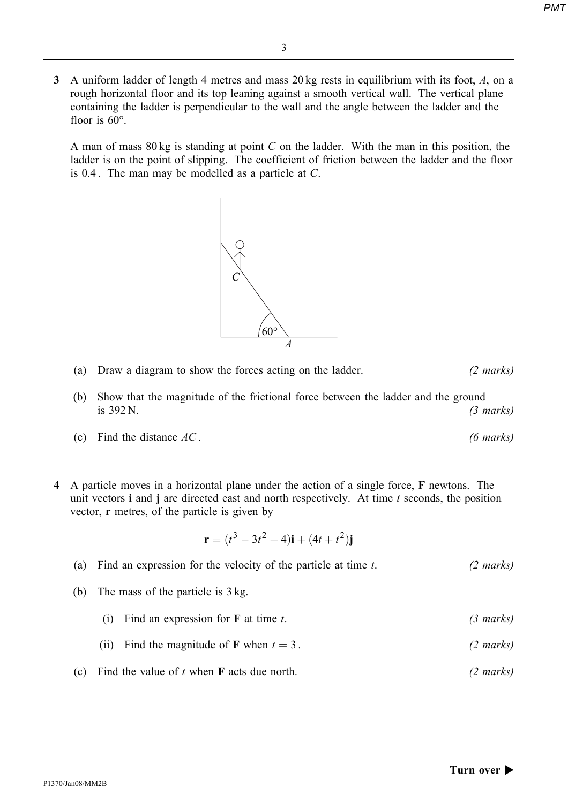3 A uniform ladder of length 4 metres and mass 20 kg rests in equilibrium with its foot, A, on a rough horizontal floor and its top leaning against a smooth vertical wall. The vertical plane containing the ladder is perpendicular to the wall and the angle between the ladder and the floor is  $60^\circ$ .

A man of mass  $80 \text{ kg}$  is standing at point C on the ladder. With the man in this position, the ladder is on the point of slipping. The coefficient of friction between the ladder and the floor is 0.4 . The man may be modelled as a particle at C.



- (a) Draw a diagram to show the forces acting on the ladder. (2 marks)
- (b) Show that the magnitude of the frictional force between the ladder and the ground is  $392 \text{ N.}$  (3 marks)
- (c) Find the distance  $AC$ . (6 marks)
- 4 A particle moves in a horizontal plane under the action of a single force, F newtons. The unit vectors  $\mathbf i$  and  $\mathbf j$  are directed east and north respectively. At time  $t$  seconds, the position vector, r metres, of the particle is given by

$$
\mathbf{r} = (t^3 - 3t^2 + 4)\mathbf{i} + (4t + t^2)\mathbf{j}
$$

|     | (a) Find an expression for the velocity of the particle at time $t$ . | $(2 \text{ marks})$ |
|-----|-----------------------------------------------------------------------|---------------------|
| (b) | The mass of the particle is 3 kg.                                     |                     |
|     | Find an expression for $\bf{F}$ at time t.<br>(1)                     | $(3 \text{ marks})$ |
|     | Find the magnitude of <b>F</b> when $t = 3$ .<br>(11)                 | $(2 \text{ marks})$ |
| (c) | Find the value of $t$ when $\bf{F}$ acts due north.                   | $(2 \text{ marks})$ |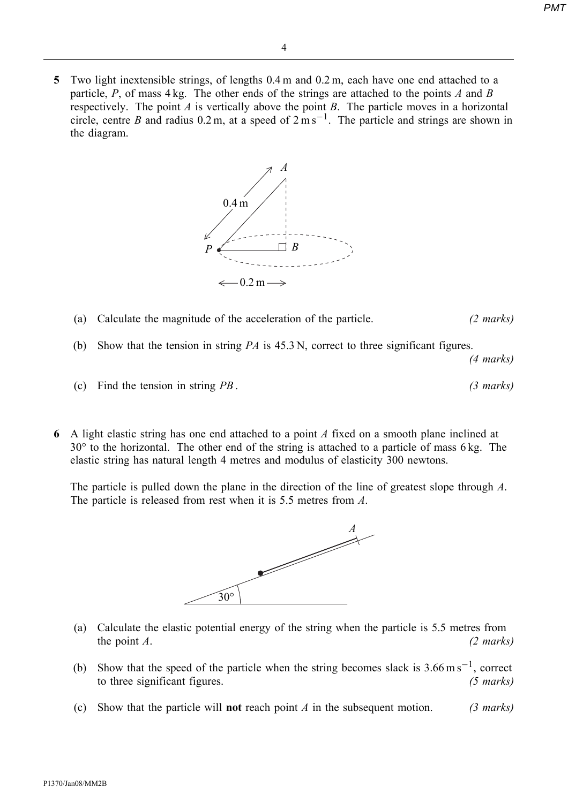5 Two light inextensible strings, of lengths 0.4 m and 0.2 m, each have one end attached to a particle, P, of mass  $4 \text{ kg}$ . The other ends of the strings are attached to the points A and B respectively. The point  $A$  is vertically above the point  $B$ . The particle moves in a horizontal circle, centre B and radius 0.2 m, at a speed of  $2 \text{ m s}^{-1}$ . The particle and strings are shown in the diagram.



- (a) Calculate the magnitude of the acceleration of the particle. (2 marks)
- (b) Show that the tension in string  $PA$  is  $45.3$  N, correct to three significant figures.

(4 marks)

- (c) Find the tension in string  $PB$ . (3 marks)
- 6 A light elastic string has one end attached to a point A fixed on a smooth plane inclined at  $30^\circ$  to the horizontal. The other end of the string is attached to a particle of mass 6 kg. The elastic string has natural length 4 metres and modulus of elasticity 300 newtons.

The particle is pulled down the plane in the direction of the line of greatest slope through A. The particle is released from rest when it is 5.5 metres from A.



- (a) Calculate the elastic potential energy of the string when the particle is 5.5 metres from the point  $A$ . (2 marks)
- (b) Show that the speed of the particle when the string becomes slack is  $3.66 \text{ m s}^{-1}$ , correct to three significant figures. (5 marks)
- (c) Show that the particle will **not** reach point A in the subsequent motion. (3 marks)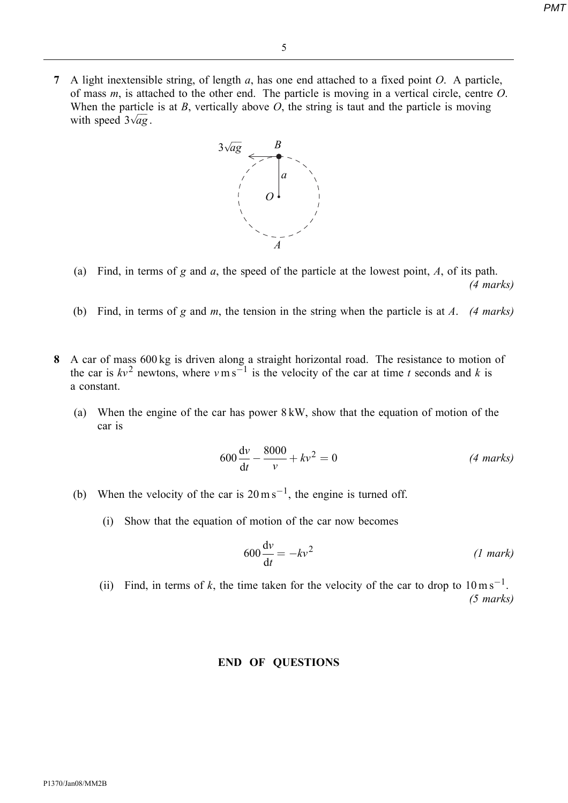7 A light inextensible string, of length  $a$ , has one end attached to a fixed point  $O$ . A particle, of mass  $m$ , is attached to the other end. The particle is moving in a vertical circle, centre  $O$ . When the particle is at  $B$ , vertically above  $O$ , the string is taut and the particle is moving with speed  $3\sqrt{ag}$ .



- (a) Find, in terms of g and a, the speed of the particle at the lowest point,  $A$ , of its path. (4 marks)
- (b) Find, in terms of g and m, the tension in the string when the particle is at A. (4 marks)
- 8 A car of mass 600 kg is driven along a straight horizontal road. The resistance to motion of the car is  $kv^2$  newtons, where  $v \text{ m s}^{-1}$  is the velocity of the car at time t seconds and k is a constant.
	- (a) When the engine of the car has power 8 kW, show that the equation of motion of the car is

$$
600\frac{dv}{dt} - \frac{8000}{v} + kv^2 = 0
$$
 (4 marks)

- (b) When the velocity of the car is  $20 \text{ m s}^{-1}$ , the engine is turned off.
	- (i) Show that the equation of motion of the car now becomes

$$
600\frac{\mathrm{d}v}{\mathrm{d}t} = -kv^2 \tag{1 mark}
$$

(ii) Find, in terms of k, the time taken for the velocity of the car to drop to  $10 \text{ m s}^{-1}$ . (5 marks)

#### END OF QUESTIONS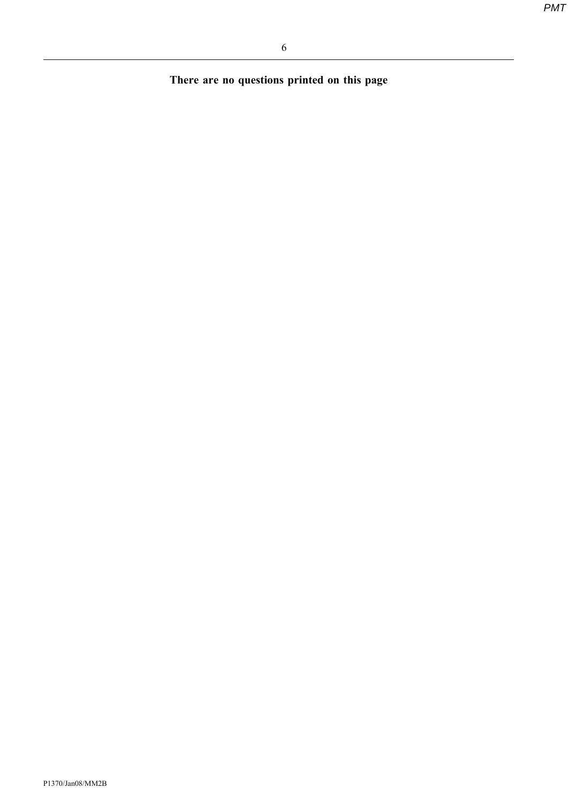There are no questions printed on this page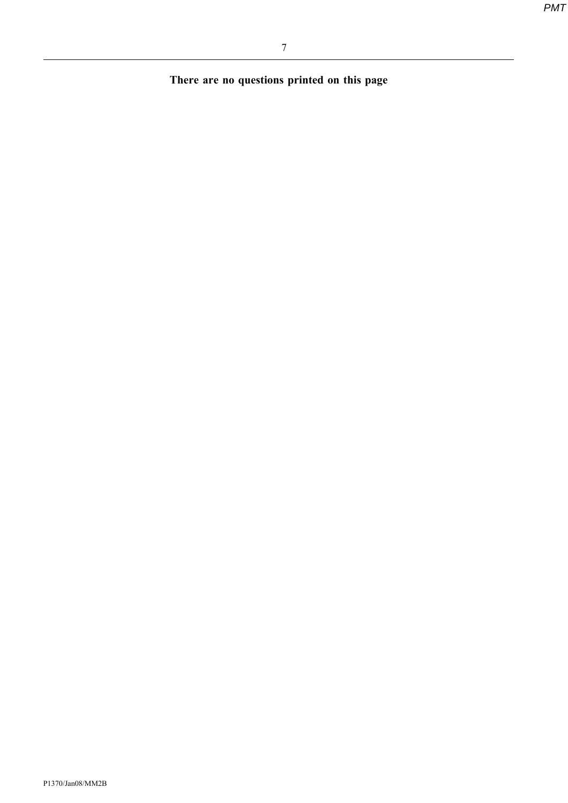There are no questions printed on this page